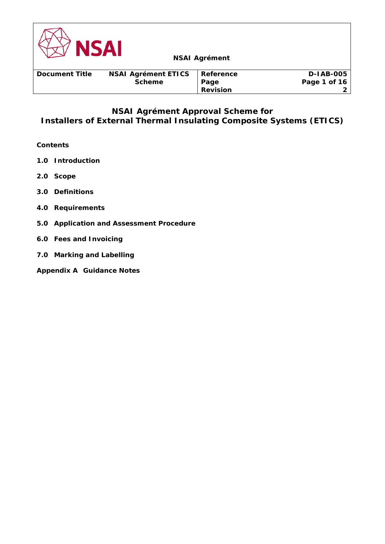

# **NSAI Agrément Approval Scheme for Installers of External Thermal Insulating Composite Systems (ETICS)**

# **Contents**

- **1.0 Introduction**
- **2.0 Scope**
- **3.0 Definitions**
- **4.0 Requirements**
- **5.0 Application and Assessment Procedure**
- **6.0 Fees and Invoicing**
- **7.0 Marking and Labelling**
- **Appendix A Guidance Notes**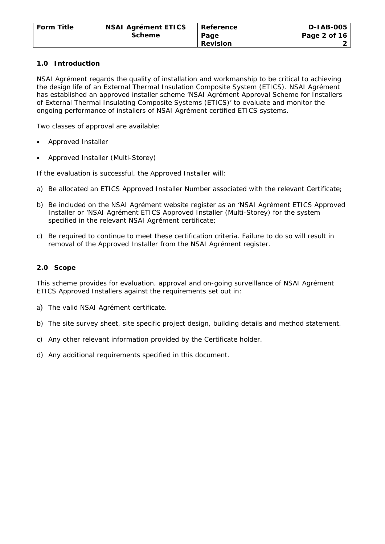### **1.0 Introduction**

NSAI Agrément regards the quality of installation and workmanship to be critical to achieving the design life of an External Thermal Insulation Composite System (ETICS). NSAI Agrément has established an approved installer scheme 'NSAI Agrément Approval Scheme for Installers of External Thermal Insulating Composite Systems (ETICS)' to evaluate and monitor the ongoing performance of installers of NSAI Agrément certified ETICS systems.

Two classes of approval are available:

- Approved Installer
- Approved Installer (Multi-Storey)

If the evaluation is successful, the Approved Installer will:

- a) Be allocated an ETICS Approved Installer Number associated with the relevant Certificate;
- b) Be included on the NSAI Agrément website register as an 'NSAI Agrément ETICS Approved Installer or 'NSAI Agrément ETICS Approved Installer (Multi-Storey) for the system specified in the relevant NSAI Agrément certificate;
- c) Be required to continue to meet these certification criteria. Failure to do so will result in removal of the Approved Installer from the NSAI Agrément register.

### **2.0 Scope**

This scheme provides for evaluation, approval and on-going surveillance of NSAI Agrément ETICS Approved Installers against the requirements set out in:

- a) The valid NSAI Agrément certificate.
- b) The site survey sheet, site specific project design, building details and method statement.
- c) Any other relevant information provided by the Certificate holder.
- d) Any additional requirements specified in this document.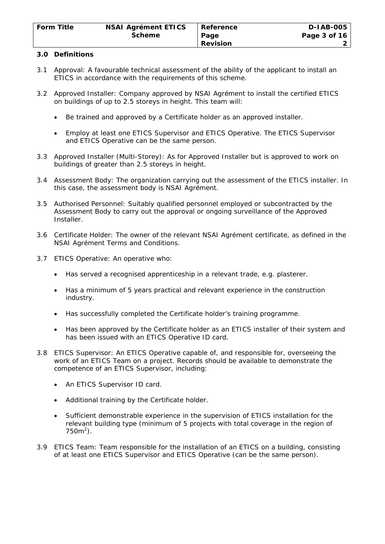### **3.0 Definitions**

- 3.1 Approval: A favourable technical assessment of the ability of the applicant to install an ETICS in accordance with the requirements of this scheme.
- 3.2 Approved Installer: Company approved by NSAI Agrément to install the certified ETICS on buildings of up to 2.5 storeys in height. This team will:
	- Be trained and approved by a Certificate holder as an approved installer.
	- Employ at least one ETICS Supervisor and ETICS Operative. The ETICS Supervisor and ETICS Operative can be the same person.
- 3.3 Approved Installer (Multi-Storey): As for Approved Installer but is approved to work on buildings of greater than 2.5 storeys in height.
- 3.4 Assessment Body: The organization carrying out the assessment of the ETICS installer. In this case, the assessment body is NSAI Agrément.
- 3.5 Authorised Personnel: Suitably qualified personnel employed or subcontracted by the Assessment Body to carry out the approval or ongoing surveillance of the Approved Installer.
- 3.6 Certificate Holder: The owner of the relevant NSAI Agrément certificate, as defined in the NSAI Agrément Terms and Conditions.
- 3.7 ETICS Operative: An operative who:
	- Has served a recognised apprenticeship in a relevant trade, e.g. plasterer.
	- Has a minimum of 5 years practical and relevant experience in the construction industry.
	- Has successfully completed the Certificate holder's training programme.
	- Has been approved by the Certificate holder as an ETICS installer of their system and has been issued with an ETICS Operative ID card.
- 3.8 ETICS Supervisor: An ETICS Operative capable of, and responsible for, overseeing the work of an ETICS Team on a project. Records should be available to demonstrate the competence of an ETICS Supervisor, including:
	- An ETICS Supervisor ID card.
	- Additional training by the Certificate holder.
	- Sufficient demonstrable experience in the supervision of ETICS installation for the relevant building type (minimum of 5 projects with total coverage in the region of  $750m^2$ ).
- 3.9 ETICS Team: Team responsible for the installation of an ETICS on a building, consisting of at least one ETICS Supervisor and ETICS Operative (can be the same person).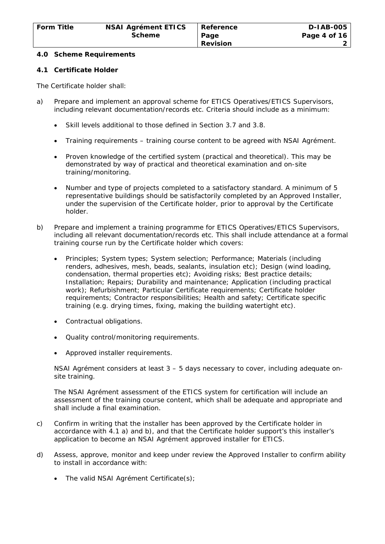#### **4.0 Scheme Requirements**

#### **4.1 Certificate Holder**

The Certificate holder shall:

- a) Prepare and implement an approval scheme for ETICS Operatives/ETICS Supervisors, including relevant documentation/records etc. Criteria should include as a minimum:
	- Skill levels additional to those defined in Section 3.7 and 3.8.
	- Training requirements training course content to be agreed with NSAI Agrément.
	- Proven knowledge of the certified system (practical and theoretical). This may be demonstrated by way of practical and theoretical examination and on-site training/monitoring.
	- Number and type of projects completed to a satisfactory standard. A minimum of 5 representative buildings should be satisfactorily completed by an Approved Installer, under the supervision of the Certificate holder, prior to approval by the Certificate holder.
- b) Prepare and implement a training programme for ETICS Operatives/ETICS Supervisors, including all relevant documentation/records etc. This shall include attendance at a formal training course run by the Certificate holder which covers:
	- Principles; System types; System selection; Performance; Materials (including renders, adhesives, mesh, beads, sealants, insulation etc); Design (wind loading, condensation, thermal properties etc); Avoiding risks; Best practice details; Installation; Repairs; Durability and maintenance; Application (including practical work); Refurbishment; Particular Certificate requirements; Certificate holder requirements; Contractor responsibilities; Health and safety; Certificate specific training (e.g. drying times, fixing, making the building watertight etc).
	- Contractual obligations.
	- Quality control/monitoring requirements.
	- Approved installer requirements.

NSAI Agrément considers at least 3 – 5 days necessary to cover, including adequate onsite training.

The NSAI Agrément assessment of the ETICS system for certification will include an assessment of the training course content, which shall be adequate and appropriate and shall include a final examination.

- c) Confirm in writing that the installer has been approved by the Certificate holder in accordance with 4.1 a) and b), and that the Certificate holder support's this installer's application to become an NSAI Agrément approved installer for ETICS.
- d) Assess, approve, monitor and keep under review the Approved Installer to confirm ability to install in accordance with:
	- The valid NSAI Agrément Certificate(s);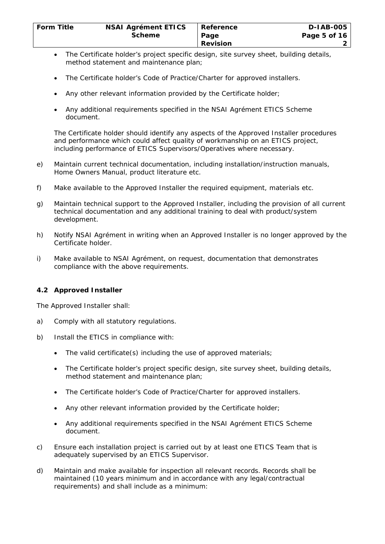- The Certificate holder's project specific design, site survey sheet, building details, method statement and maintenance plan;
- The Certificate holder's Code of Practice/Charter for approved installers.
- Any other relevant information provided by the Certificate holder;
- Any additional requirements specified in the NSAI Agrément ETICS Scheme document.

The Certificate holder should identify any aspects of the Approved Installer procedures and performance which could affect quality of workmanship on an ETICS project, including performance of ETICS Supervisors/Operatives where necessary.

- e) Maintain current technical documentation, including installation/instruction manuals, Home Owners Manual, product literature etc.
- f) Make available to the Approved Installer the required equipment, materials etc.
- g) Maintain technical support to the Approved Installer, including the provision of all current technical documentation and any additional training to deal with product/system development.
- h) Notify NSAI Agrément in writing when an Approved Installer is no longer approved by the Certificate holder.
- i) Make available to NSAI Agrément, on request, documentation that demonstrates compliance with the above requirements.

# **4.2 Approved Installer**

The Approved Installer shall:

- a) Comply with all statutory regulations.
- b) Install the ETICS in compliance with:
	- The valid certificate(s) including the use of approved materials;
	- The Certificate holder's project specific design, site survey sheet, building details, method statement and maintenance plan;
	- The Certificate holder's Code of Practice/Charter for approved installers.
	- Any other relevant information provided by the Certificate holder;
	- Any additional requirements specified in the NSAI Agrément ETICS Scheme document.
- c) Ensure each installation project is carried out by at least one ETICS Team that is adequately supervised by an ETICS Supervisor.
- d) Maintain and make available for inspection all relevant records. Records shall be maintained (10 years minimum and in accordance with any legal/contractual requirements) and shall include as a minimum: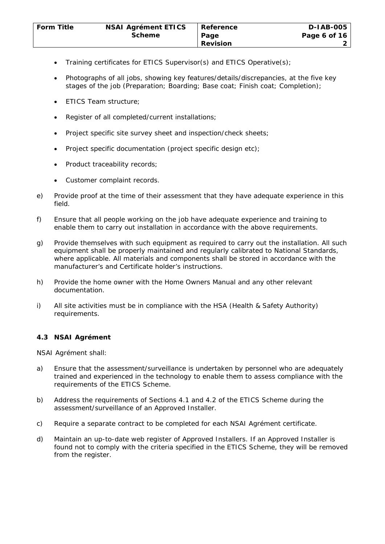- Training certificates for ETICS Supervisor(s) and ETICS Operative(s);
- Photographs of all jobs, showing key features/details/discrepancies, at the five key stages of the job (Preparation; Boarding; Base coat; Finish coat; Completion);
- ETICS Team structure;
- Register of all completed/current installations;
- Project specific site survey sheet and inspection/check sheets;
- Project specific documentation (project specific design etc);
- Product traceability records;
- Customer complaint records.
- e) Provide proof at the time of their assessment that they have adequate experience in this field.
- f) Ensure that all people working on the job have adequate experience and training to enable them to carry out installation in accordance with the above requirements.
- g) Provide themselves with such equipment as required to carry out the installation. All such equipment shall be properly maintained and regularly calibrated to National Standards, where applicable. All materials and components shall be stored in accordance with the manufacturer's and Certificate holder's instructions.
- h) Provide the home owner with the Home Owners Manual and any other relevant documentation.
- i) All site activities must be in compliance with the HSA (Health & Safety Authority) requirements.

# **4.3 NSAI Agrément**

NSAI Agrément shall:

- a) Ensure that the assessment/surveillance is undertaken by personnel who are adequately trained and experienced in the technology to enable them to assess compliance with the requirements of the ETICS Scheme.
- b) Address the requirements of Sections 4.1 and 4.2 of the ETICS Scheme during the assessment/surveillance of an Approved Installer.
- c) Require a separate contract to be completed for each NSAI Agrément certificate.
- d) Maintain an up-to-date web register of Approved Installers. If an Approved Installer is found not to comply with the criteria specified in the ETICS Scheme, they will be removed from the register.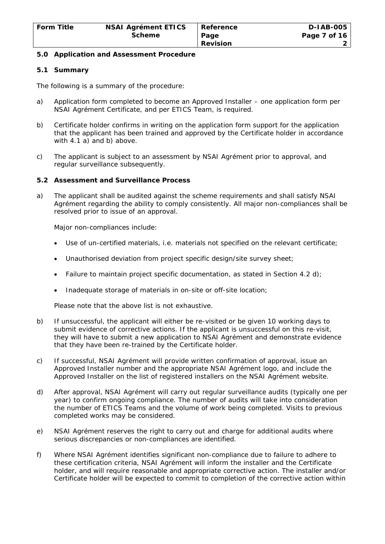#### **5.0 Application and Assessment Procedure**

#### **5.1 Summary**

The following is a summary of the procedure:

- a) Application form completed to become an Approved Installer one application form per NSAI Agrément Certificate, and per ETICS Team, is required.
- b) Certificate holder confirms in writing on the application form support for the application that the applicant has been trained and approved by the Certificate holder in accordance with 4.1 a) and b) above.
- c) The applicant is subject to an assessment by NSAI Agrément prior to approval, and regular surveillance subsequently.

#### **5.2 Assessment and Surveillance Process**

a) The applicant shall be audited against the scheme requirements and shall satisfy NSAI Agrément regarding the ability to comply consistently. All major non-compliances shall be resolved prior to issue of an approval.

Major non-compliances include:

- Use of un-certified materials, i.e. materials not specified on the relevant certificate;
- Unauthorised deviation from project specific design/site survey sheet;
- Failure to maintain project specific documentation, as stated in Section 4.2 d);
- Inadequate storage of materials in on-site or off-site location;

Please note that the above list is not exhaustive.

- b) If unsuccessful, the applicant will either be re-visited or be given 10 working days to submit evidence of corrective actions. If the applicant is unsuccessful on this re-visit, they will have to submit a new application to NSAI Agrément and demonstrate evidence that they have been re-trained by the Certificate holder.
- c) If successful, NSAI Agrément will provide written confirmation of approval, issue an Approved Installer number and the appropriate NSAI Agrément logo, and include the Approved Installer on the list of registered installers on the NSAI Agrément website.
- d) After approval, NSAI Agrément will carry out regular surveillance audits (typically one per year) to confirm ongoing compliance. The number of audits will take into consideration the number of ETICS Teams and the volume of work being completed. Visits to previous completed works may be considered.
- e) NSAI Agrément reserves the right to carry out and charge for additional audits where serious discrepancies or non-compliances are identified.
- f) Where NSAI Agrément identifies significant non-compliance due to failure to adhere to these certification criteria, NSAI Agrément will inform the installer and the Certificate holder, and will require reasonable and appropriate corrective action. The installer and/or Certificate holder will be expected to commit to completion of the corrective action within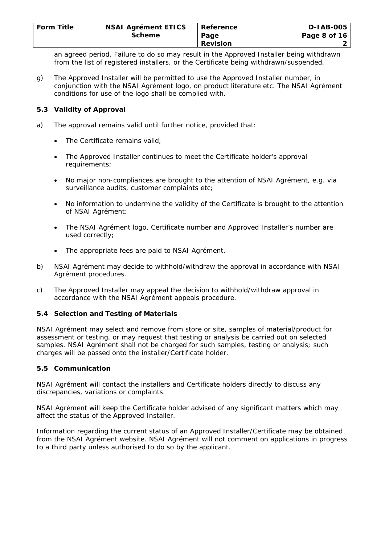| <b>NSAI Agrément ETICS</b> | Reference | <b>D-IAB-005</b> |
|----------------------------|-----------|------------------|
| <b>Scheme</b>              | Page      | Page 8 of 16     |
|                            | Revision  |                  |
|                            |           |                  |

an agreed period. Failure to do so may result in the Approved Installer being withdrawn from the list of registered installers, or the Certificate being withdrawn/suspended.

g) The Approved Installer will be permitted to use the Approved Installer number, in conjunction with the NSAI Agrément logo, on product literature etc. The NSAI Agrément conditions for use of the logo shall be complied with.

# **5.3 Validity of Approval**

- a) The approval remains valid until further notice, provided that:
	- The Certificate remains valid:
	- The Approved Installer continues to meet the Certificate holder's approval requirements;
	- No major non-compliances are brought to the attention of NSAI Agrément, e.g. via surveillance audits, customer complaints etc;
	- No information to undermine the validity of the Certificate is brought to the attention of NSAI Agrément;
	- The NSAI Agrément logo, Certificate number and Approved Installer's number are used correctly;
	- The appropriate fees are paid to NSAI Agrément.
- b) NSAI Agrément may decide to withhold/withdraw the approval in accordance with NSAI Agrément procedures.
- c) The Approved Installer may appeal the decision to withhold/withdraw approval in accordance with the NSAI Agrément appeals procedure.

# **5.4 Selection and Testing of Materials**

NSAI Agrément may select and remove from store or site, samples of material/product for assessment or testing, or may request that testing or analysis be carried out on selected samples. NSAI Agrément shall not be charged for such samples, testing or analysis; such charges will be passed onto the installer/Certificate holder.

#### **5.5 Communication**

NSAI Agrément will contact the installers and Certificate holders directly to discuss any discrepancies, variations or complaints.

NSAI Agrément will keep the Certificate holder advised of any significant matters which may affect the status of the Approved Installer.

Information regarding the current status of an Approved Installer/Certificate may be obtained from the NSAI Agrément website. NSAI Agrément will not comment on applications in progress to a third party unless authorised to do so by the applicant.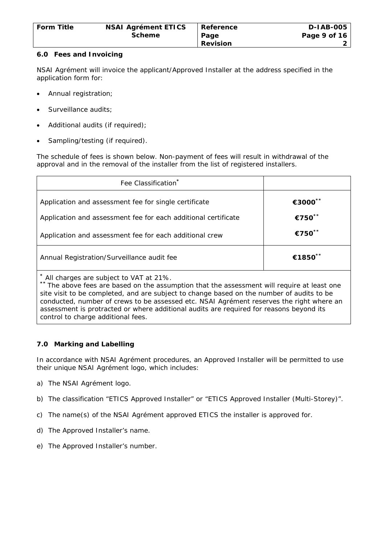| <b>Form Title</b> | <b>NSAI Agrément ETICS</b> | Reference       | D-IAB-005      |
|-------------------|----------------------------|-----------------|----------------|
|                   | <b>Scheme</b>              | ∣ Paqe          | Page 9 of $16$ |
|                   |                            | <b>Revision</b> |                |

### **6.0 Fees and Invoicing**

NSAI Agrément will invoice the applicant/Approved Installer at the address specified in the application form for:

- Annual registration;
- Surveillance audits;
- Additional audits (if required);
- Sampling/testing (if required).

The schedule of fees is shown below. Non-payment of fees will result in withdrawal of the approval and in the removal of the installer from the list of registered installers.

| Fee Classification*                                                                                                                                                                                                                                                                                                              |         |  |
|----------------------------------------------------------------------------------------------------------------------------------------------------------------------------------------------------------------------------------------------------------------------------------------------------------------------------------|---------|--|
| Application and assessment fee for single certificate                                                                                                                                                                                                                                                                            | €3000** |  |
| Application and assessment fee for each additional certificate                                                                                                                                                                                                                                                                   | €750**  |  |
| Application and assessment fee for each additional crew                                                                                                                                                                                                                                                                          | €750**  |  |
| Annual Registration/Surveillance audit fee                                                                                                                                                                                                                                                                                       | €1850** |  |
| * All charges are subject to VAT at 21%.<br>** The above fees are based on the assumption that the assessment will require at least one<br>site visit to be completed, and are subject to change based on the number of audits to be<br>conducted, number of crews to be assessed etc. NSAI Agrément reserves the right where an |         |  |

assessment is protracted or where additional audits are required for reasons beyond its control to charge additional fees.

# **7.0 Marking and Labelling**

In accordance with NSAI Agrément procedures, an Approved Installer will be permitted to use their unique NSAI Agrément logo, which includes:

- a) The NSAI Agrément logo.
- b) The classification "ETICS Approved Installer" or "ETICS Approved Installer (Multi-Storey)".
- c) The name(s) of the NSAI Agrément approved ETICS the installer is approved for.
- d) The Approved Installer's name.
- e) The Approved Installer's number.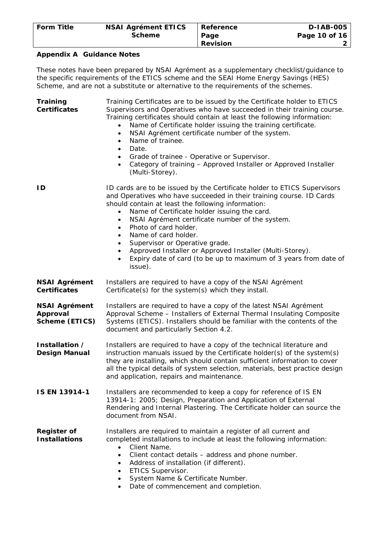| <b>Form Title</b> | <b>NSAI Agrément ETICS</b> | Reference       | <b>D-IAB-005</b> |
|-------------------|----------------------------|-----------------|------------------|
|                   | <b>Scheme</b>              | Page            | Page 10 of 16    |
|                   |                            | <b>Revision</b> |                  |

#### **Appendix A Guidance Notes**

These notes have been prepared by NSAI Agrément as a supplementary checklist/guidance to the specific requirements of the ETICS scheme and the SEAI Home Energy Savings (HES) Scheme, and are not a substitute or alternative to the requirements of the schemes.

**Training Certificates**  Training Certificates are to be issued by the Certificate holder to ETICS Supervisors and Operatives who have succeeded in their training course. Training certificates should contain at least the following information: • Name of Certificate holder issuing the training certificate. NSAI Agrément certificate number of the system. • Name of trainee. • Date. • Grade of trainee - Operative or Supervisor. • Category of training – Approved Installer or Approved Installer (Multi-Storey). **ID ID** cards are to be issued by the Certificate holder to ETICS Supervisors and Operatives who have succeeded in their training course. ID Cards should contain at least the following information: • Name of Certificate holder issuing the card. • NSAI Agrément certificate number of the system. • Photo of card holder. • Name of card holder. Supervisor or Operative grade. • Approved Installer or Approved Installer (Multi-Storey). • Expiry date of card (to be up to maximum of 3 years from date of issue). **NSAI Agrément Certificates**  Installers are required to have a copy of the NSAI Agrément Certificate(s) for the system(s) which they install. **NSAI Agrément Approval Scheme (ETICS)**  Installers are required to have a copy of the latest NSAI Agrément Approval Scheme – Installers of External Thermal Insulating Composite Systems (ETICS). Installers should be familiar with the contents of the document and particularly Section 4.2. **Installation / Design Manual**  Installers are required to have a copy of the technical literature and instruction manuals issued by the Certificate holder(s) of the system(s) they are installing, which should contain sufficient information to cover all the typical details of system selection, materials, best practice design and application, repairs and maintenance. **IS EN 13914-1** Installers are recommended to keep a copy for reference of IS EN 13914-1: 2005; *Design, Preparation and Application of External Rendering and Internal Plastering*. The Certificate holder can source the document from NSAI. **Register of Installations**  Installers are required to maintain a register of all current and completed installations to include at least the following information: • Client Name. Client contact details – address and phone number. • Address of installation (if different). • ETICS Supervisor. • System Name & Certificate Number.

• Date of commencement and completion.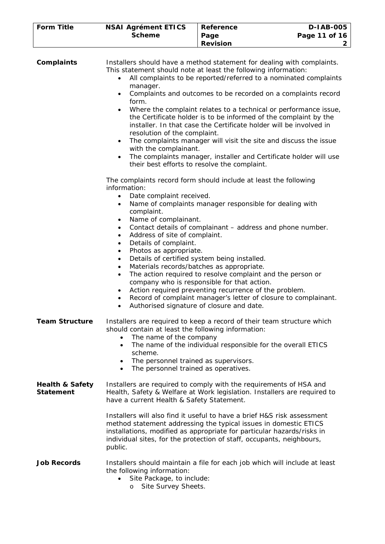| <b>Form Title</b> | <b>NSAI Agrément ETICS</b> | <b>∣ Reference</b> | <b>D-IAB-005</b> |
|-------------------|----------------------------|--------------------|------------------|
|                   | <b>Scheme</b>              | Page               | Page 11 of 16    |
|                   |                            | <b>Revision</b>    |                  |

| Complaints                                     | Installers should have a method statement for dealing with complaints.<br>This statement should note at least the following information:<br>All complaints to be reported/referred to a nominated complaints<br>$\bullet$<br>manager.<br>Complaints and outcomes to be recorded on a complaints record<br>$\bullet$<br>form.<br>Where the complaint relates to a technical or performance issue,<br>$\bullet$<br>the Certificate holder is to be informed of the complaint by the<br>installer. In that case the Certificate holder will be involved in<br>resolution of the complaint.<br>The complaints manager will visit the site and discuss the issue<br>$\bullet$<br>with the complainant.<br>The complaints manager, installer and Certificate holder will use<br>$\bullet$<br>their best efforts to resolve the complaint. |
|------------------------------------------------|-------------------------------------------------------------------------------------------------------------------------------------------------------------------------------------------------------------------------------------------------------------------------------------------------------------------------------------------------------------------------------------------------------------------------------------------------------------------------------------------------------------------------------------------------------------------------------------------------------------------------------------------------------------------------------------------------------------------------------------------------------------------------------------------------------------------------------------|
|                                                | The complaints record form should include at least the following<br>information:<br>Date complaint received.<br>$\bullet$<br>Name of complaints manager responsible for dealing with<br>$\bullet$<br>complaint.<br>Name of complainant.<br>$\bullet$                                                                                                                                                                                                                                                                                                                                                                                                                                                                                                                                                                                |
|                                                | Contact details of complainant - address and phone number.<br>$\bullet$<br>Address of site of complaint.<br>$\bullet$<br>Details of complaint.<br>$\bullet$<br>Photos as appropriate.<br>$\bullet$<br>Details of certified system being installed.<br>$\bullet$<br>Materials records/batches as appropriate.<br>$\bullet$<br>The action required to resolve complaint and the person or<br>$\bullet$<br>company who is responsible for that action.<br>Action required preventing recurrence of the problem.<br>٠<br>Record of complaint manager's letter of closure to complainant.<br>$\bullet$<br>Authorised signature of closure and date.<br>$\bullet$                                                                                                                                                                         |
| <b>Team Structure</b>                          | Installers are required to keep a record of their team structure which<br>should contain at least the following information:<br>The name of the company<br>The name of the individual responsible for the overall ETICS<br>scheme.<br>The personnel trained as supervisors.<br>The personnel trained as operatives.                                                                                                                                                                                                                                                                                                                                                                                                                                                                                                                 |
| <b>Health &amp; Safety</b><br><b>Statement</b> | Installers are required to comply with the requirements of HSA and<br>Health, Safety & Welfare at Work legislation. Installers are required to<br>have a current Health & Safety Statement.                                                                                                                                                                                                                                                                                                                                                                                                                                                                                                                                                                                                                                         |
|                                                | Installers will also find it useful to have a brief H&S risk assessment<br>method statement addressing the typical issues in domestic ETICS<br>installations, modified as appropriate for particular hazards/risks in<br>individual sites, for the protection of staff, occupants, neighbours,<br>public.                                                                                                                                                                                                                                                                                                                                                                                                                                                                                                                           |
| <b>Job Records</b>                             | Installers should maintain a file for each job which will include at least<br>the following information:<br>Site Package, to include:<br>$\bullet$<br>Site Survey Sheets.<br>$\circ$                                                                                                                                                                                                                                                                                                                                                                                                                                                                                                                                                                                                                                                |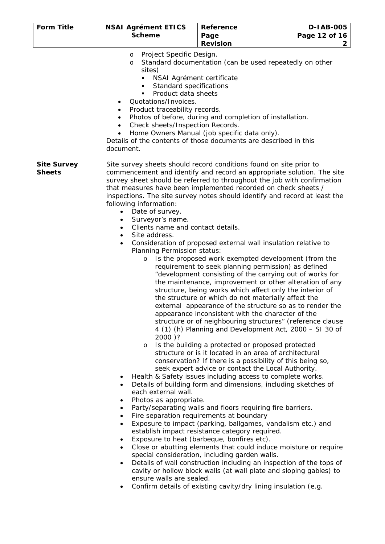| <b>Form Title</b>                   | <b>NSAI Agrément ETICS</b><br><b>Scheme</b>                                                                                                                                                                                                                                                                                                                                          | Reference<br>Page                                                                                                                                                                                                                                                                                                                                                                                                                                                                                                                                                                                                                                                                                                                                                                                                                                                                                                                                                                                                                                                                                                                                                                                                                                                                                                                                                                                                                                                                                                                                                                                                                                                                                                                                                                                                                                                                                                                                                                                                           | <b>D-IAB-005</b><br>Page 12 of 16 |
|-------------------------------------|--------------------------------------------------------------------------------------------------------------------------------------------------------------------------------------------------------------------------------------------------------------------------------------------------------------------------------------------------------------------------------------|-----------------------------------------------------------------------------------------------------------------------------------------------------------------------------------------------------------------------------------------------------------------------------------------------------------------------------------------------------------------------------------------------------------------------------------------------------------------------------------------------------------------------------------------------------------------------------------------------------------------------------------------------------------------------------------------------------------------------------------------------------------------------------------------------------------------------------------------------------------------------------------------------------------------------------------------------------------------------------------------------------------------------------------------------------------------------------------------------------------------------------------------------------------------------------------------------------------------------------------------------------------------------------------------------------------------------------------------------------------------------------------------------------------------------------------------------------------------------------------------------------------------------------------------------------------------------------------------------------------------------------------------------------------------------------------------------------------------------------------------------------------------------------------------------------------------------------------------------------------------------------------------------------------------------------------------------------------------------------------------------------------------------------|-----------------------------------|
|                                     |                                                                                                                                                                                                                                                                                                                                                                                      | <b>Revision</b>                                                                                                                                                                                                                                                                                                                                                                                                                                                                                                                                                                                                                                                                                                                                                                                                                                                                                                                                                                                                                                                                                                                                                                                                                                                                                                                                                                                                                                                                                                                                                                                                                                                                                                                                                                                                                                                                                                                                                                                                             | $\mathbf{2}$                      |
|                                     | Project Specific Design.<br>$\circ$<br>$\circ$<br>sites)<br>NSAI Agrément certificate<br>٠<br>Standard specifications<br>٠<br>Product data sheets<br>٠<br>Quotations/Invoices.<br>$\bullet$<br>Product traceability records.<br>Check sheets/Inspection Records.<br>document.                                                                                                        | Standard documentation (can be used repeatedly on other<br>Photos of before, during and completion of installation.<br>Home Owners Manual (job specific data only).<br>Details of the contents of those documents are described in this                                                                                                                                                                                                                                                                                                                                                                                                                                                                                                                                                                                                                                                                                                                                                                                                                                                                                                                                                                                                                                                                                                                                                                                                                                                                                                                                                                                                                                                                                                                                                                                                                                                                                                                                                                                     |                                   |
| <b>Site Survey</b><br><b>Sheets</b> | following information:<br>Date of survey.<br>Surveyor's name.<br>Clients name and contact details.<br>$\bullet$<br>Site address.<br>$\bullet$<br>Planning Permission status:<br>$\circ$<br>2000)?<br>$\circ$<br>$\bullet$<br>$\bullet$<br>each external wall.<br>Photos as appropriate.<br>$\bullet$<br>$\bullet$<br>$\bullet$<br>$\bullet$<br>$\bullet$<br>ensure walls are sealed. | Site survey sheets should record conditions found on site prior to<br>commencement and identify and record an appropriate solution. The site<br>survey sheet should be referred to throughout the job with confirmation<br>that measures have been implemented recorded on check sheets /<br>inspections. The site survey notes should identify and record at least the<br>Consideration of proposed external wall insulation relative to<br>Is the proposed work exempted development (from the<br>requirement to seek planning permission) as defined<br>"development consisting of the carrying out of works for<br>the maintenance, improvement or other alteration of any<br>structure, being works which affect only the interior of<br>the structure or which do not materially affect the<br>external appearance of the structure so as to render the<br>appearance inconsistent with the character of the<br>structure or of neighbouring structures" (reference clause<br>4 (1) (h) Planning and Development Act, 2000 - SI 30 of<br>Is the building a protected or proposed protected<br>structure or is it located in an area of architectural<br>conservation? If there is a possibility of this being so,<br>seek expert advice or contact the Local Authority.<br>Health & Safety issues including access to complete works.<br>Details of building form and dimensions, including sketches of<br>Party/separating walls and floors requiring fire barriers.<br>Fire separation requirements at boundary<br>Exposure to impact (parking, ballgames, vandalism etc.) and<br>establish impact resistance category required.<br>Exposure to heat (barbeque, bonfires etc).<br>Close or abutting elements that could induce moisture or require<br>special consideration, including garden walls.<br>Details of wall construction including an inspection of the tops of<br>cavity or hollow block walls (at wall plate and sloping gables) to<br>Confirm details of existing cavity/dry lining insulation (e.g. |                                   |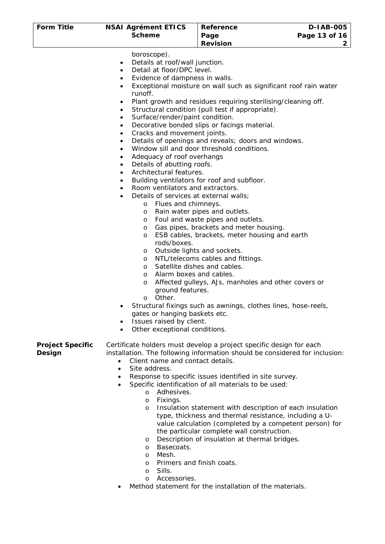| <b>Form Title</b>                 | <b>NSAI Agrément ETICS</b>                                                                                                                                                                                                                                                                                                                                                                                                                                                                                                                                                                                                                                                                                                                                                                                                      | <b>Reference</b>                                                                                                                                                                                                                                                                                                                                                                                                                                                                                                                                                                                                                                                                                                                                                                        | <b>D-IAB-005</b> |
|-----------------------------------|---------------------------------------------------------------------------------------------------------------------------------------------------------------------------------------------------------------------------------------------------------------------------------------------------------------------------------------------------------------------------------------------------------------------------------------------------------------------------------------------------------------------------------------------------------------------------------------------------------------------------------------------------------------------------------------------------------------------------------------------------------------------------------------------------------------------------------|-----------------------------------------------------------------------------------------------------------------------------------------------------------------------------------------------------------------------------------------------------------------------------------------------------------------------------------------------------------------------------------------------------------------------------------------------------------------------------------------------------------------------------------------------------------------------------------------------------------------------------------------------------------------------------------------------------------------------------------------------------------------------------------------|------------------|
|                                   | <b>Scheme</b>                                                                                                                                                                                                                                                                                                                                                                                                                                                                                                                                                                                                                                                                                                                                                                                                                   | Page                                                                                                                                                                                                                                                                                                                                                                                                                                                                                                                                                                                                                                                                                                                                                                                    | Page 13 of 16    |
|                                   |                                                                                                                                                                                                                                                                                                                                                                                                                                                                                                                                                                                                                                                                                                                                                                                                                                 | <b>Revision</b>                                                                                                                                                                                                                                                                                                                                                                                                                                                                                                                                                                                                                                                                                                                                                                         | 2                |
|                                   | boroscope).<br>Details at roof/wall junction.<br>$\bullet$<br>Detail at floor/DPC level.<br>$\bullet$<br>Evidence of dampness in walls.<br>$\bullet$<br>$\bullet$<br>runoff.<br>٠<br>$\bullet$<br>Surface/render/paint condition.<br>$\bullet$<br>٠<br>Cracks and movement joints.<br>$\bullet$<br>$\bullet$<br>٠<br>Adequacy of roof overhangs<br>٠<br>Details of abutting roofs.<br>Architectural features.<br>Room ventilators and extractors.<br>Details of services at external walls;<br>Flues and chimneys.<br>$\circ$<br>$\circ$<br>$\circ$<br>$\circ$<br>$\circ$<br>rods/boxes.<br>O<br>$\circ$<br>$\circ$<br>Alarm boxes and cables.<br>$\circ$<br>O<br>ground features.<br>Other.<br>$\circ$<br>gates or hanging baskets etc.<br>Issues raised by client.<br>$\bullet$<br>Other exceptional conditions.<br>$\bullet$ | Exceptional moisture on wall such as significant roof rain water<br>Plant growth and residues requiring sterilising/cleaning off.<br>Structural condition (pull test if appropriate).<br>Decorative bonded slips or facings material.<br>Details of openings and reveals; doors and windows.<br>Window sill and door threshold conditions.<br>Building ventilators for roof and subfloor.<br>Rain water pipes and outlets.<br>Foul and waste pipes and outlets.<br>Gas pipes, brackets and meter housing.<br>ESB cables, brackets, meter housing and earth<br>Outside lights and sockets.<br>NTL/telecoms cables and fittings.<br>Satellite dishes and cables.<br>Affected gulleys, AJs, manholes and other covers or<br>Structural fixings such as awnings, clothes lines, hose-reels, |                  |
| <b>Project Specific</b><br>Design | Client name and contact details.<br>$\bullet$<br>Site address.<br>$\bullet$<br>$\bullet$<br>$\bullet$<br>Adhesives.<br>$\circ$<br>Fixings.<br>$\circ$<br>$\circ$<br>$\circ$<br>Basecoats.<br>$\circ$<br>Mesh.<br>O<br>Drimore and finish coate                                                                                                                                                                                                                                                                                                                                                                                                                                                                                                                                                                                  | Certificate holders must develop a project specific design for each<br>installation. The following information should be considered for inclusion:<br>Response to specific issues identified in site survey.<br>Specific identification of all materials to be used:<br>Insulation statement with description of each insulation<br>type, thickness and thermal resistance, including a U-<br>value calculation (completed by a competent person) for<br>the particular complete wall construction.<br>Description of insulation at thermal bridges.                                                                                                                                                                                                                                    |                  |

- o Primers and finish coats.
- o Sills.
- o Accessories.
- Method statement for the installation of the materials.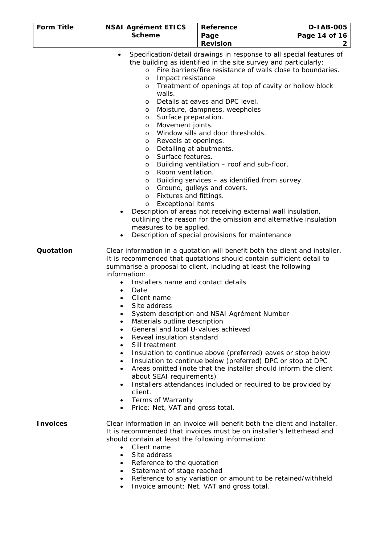| <b>Form Title</b> | <b>NSAI Agrément ETICS</b>                                                                                                                                                                                                                                                                                                                                                                                                                                             | <b>Reference</b>                                                                                                                                                                                                                                                                                                                                                                                                                                                                                                                                                                                                                                                                                  | D-1AB-005           |
|-------------------|------------------------------------------------------------------------------------------------------------------------------------------------------------------------------------------------------------------------------------------------------------------------------------------------------------------------------------------------------------------------------------------------------------------------------------------------------------------------|---------------------------------------------------------------------------------------------------------------------------------------------------------------------------------------------------------------------------------------------------------------------------------------------------------------------------------------------------------------------------------------------------------------------------------------------------------------------------------------------------------------------------------------------------------------------------------------------------------------------------------------------------------------------------------------------------|---------------------|
|                   | <b>Scheme</b>                                                                                                                                                                                                                                                                                                                                                                                                                                                          | Page<br><b>Revision</b>                                                                                                                                                                                                                                                                                                                                                                                                                                                                                                                                                                                                                                                                           | Page 14 of 16<br>2. |
|                   | $\bullet$<br>$\circ$<br>Impact resistance<br>$\circ$<br>O<br>walls.<br>O<br>O<br>Surface preparation.<br>O<br>Movement joints.<br>O<br>O<br>Reveals at openings.<br>O<br>Detailing at abutments.<br>O<br>Surface features.<br>O<br>O<br>Room ventilation.<br>O<br>O<br>O<br>Fixtures and fittings.<br>$\circ$<br><b>Exceptional items</b><br>$\circ$<br>measures to be applied.                                                                                        | Specification/detail drawings in response to all special features of<br>the building as identified in the site survey and particularly:<br>Fire barriers/fire resistance of walls close to boundaries.<br>Treatment of openings at top of cavity or hollow block<br>Details at eaves and DPC level.<br>Moisture, dampness, weepholes<br>Window sills and door thresholds.<br>Building ventilation - roof and sub-floor.<br>Building services - as identified from survey.<br>Ground, gulleys and covers.<br>Description of areas not receiving external wall insulation,<br>outlining the reason for the omission and alternative insulation<br>Description of special provisions for maintenance |                     |
| Quotation         | information:<br>Installers name and contact details<br>$\bullet$<br>Date<br>$\bullet$<br>Client name<br>Site address<br>$\bullet$<br>Materials outline description<br>$\bullet$<br>General and local U-values achieved<br>$\bullet$<br>Reveal insulation standard<br>$\bullet$<br>Sill treatment<br>$\bullet$<br>$\bullet$<br>$\bullet$<br>$\bullet$<br>about SEAI requirements)<br>client.<br>Terms of Warranty<br>$\bullet$<br>Price: Net, VAT and gross total.<br>٠ | Clear information in a quotation will benefit both the client and installer.<br>It is recommended that quotations should contain sufficient detail to<br>summarise a proposal to client, including at least the following<br>System description and NSAI Agrément Number<br>Insulation to continue above (preferred) eaves or stop below<br>Insulation to continue below (preferred) DPC or stop at DPC<br>Areas omitted (note that the installer should inform the client<br>Installers attendances included or required to be provided by                                                                                                                                                       |                     |
| <b>Invoices</b>   | should contain at least the following information:<br>Client name<br>$\bullet$<br>Site address<br>$\bullet$<br>Reference to the quotation<br>Statement of stage reached<br>٠                                                                                                                                                                                                                                                                                           | Clear information in an invoice will benefit both the client and installer.<br>It is recommended that invoices must be on installer's letterhead and<br>Reference to any variation or amount to be retained/withheld                                                                                                                                                                                                                                                                                                                                                                                                                                                                              |                     |

• Invoice amount: Net, VAT and gross total.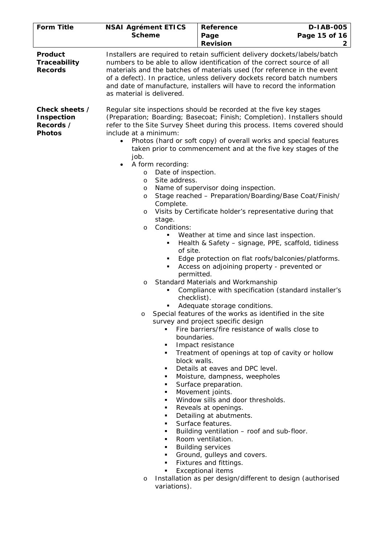| <b>Form Title</b>                                                 | <b>NSAI Agrément ETICS</b><br><b>Scheme</b>                                                                                                                                                                                                                                                                                                                                              | <b>Reference</b><br>Page<br><b>Revision</b>                                                                                                                                                                                                                                                                                                                                                                                                                                                                                                                                                                                                                                                                                                                                                                                                                                                                                                                                                                                                                                                                                                                                                                                                                                                                                                                                                                                                                                                                        | <b>D-IAB-005</b><br>Page 15 of 16<br>2 |
|-------------------------------------------------------------------|------------------------------------------------------------------------------------------------------------------------------------------------------------------------------------------------------------------------------------------------------------------------------------------------------------------------------------------------------------------------------------------|--------------------------------------------------------------------------------------------------------------------------------------------------------------------------------------------------------------------------------------------------------------------------------------------------------------------------------------------------------------------------------------------------------------------------------------------------------------------------------------------------------------------------------------------------------------------------------------------------------------------------------------------------------------------------------------------------------------------------------------------------------------------------------------------------------------------------------------------------------------------------------------------------------------------------------------------------------------------------------------------------------------------------------------------------------------------------------------------------------------------------------------------------------------------------------------------------------------------------------------------------------------------------------------------------------------------------------------------------------------------------------------------------------------------------------------------------------------------------------------------------------------------|----------------------------------------|
| Product<br><b>Traceability</b><br><b>Records</b>                  | as material is delivered.                                                                                                                                                                                                                                                                                                                                                                | Installers are required to retain sufficient delivery dockets/labels/batch<br>numbers to be able to allow identification of the correct source of all<br>materials and the batches of materials used (for reference in the event<br>of a defect). In practice, unless delivery dockets record batch numbers<br>and date of manufacture, installers will have to record the information                                                                                                                                                                                                                                                                                                                                                                                                                                                                                                                                                                                                                                                                                                                                                                                                                                                                                                                                                                                                                                                                                                                             |                                        |
| Check sheets /<br><b>Inspection</b><br>Records /<br><b>Photos</b> | include at a minimum:<br>job.<br>A form recording:<br>Date of inspection.<br>$\circ$<br>Site address.<br>$\circ$<br>$\circ$<br>O<br>Complete.<br>$\circ$<br>stage.<br>Conditions:<br>$\circ$<br>٠<br>٠<br>of site.<br>٠<br>٠<br>permitted.<br>O<br>٠<br>checklist).<br>٠<br>$\circ$<br>boundaries.<br>block walls.<br>٠<br>٠<br>٠<br>п<br>٠<br>п<br>٠<br>٠<br>٠<br>٠<br>٠<br>٠<br>٠<br>п | Regular site inspections should be recorded at the five key stages<br>(Preparation; Boarding; Basecoat; Finish; Completion). Installers should<br>refer to the Site Survey Sheet during this process. Items covered should<br>Photos (hard or soft copy) of overall works and special features<br>taken prior to commencement and at the five key stages of the<br>Name of supervisor doing inspection.<br>Stage reached - Preparation/Boarding/Base Coat/Finish/<br>Visits by Certificate holder's representative during that<br>Weather at time and since last inspection.<br>Health & Safety - signage, PPE, scaffold, tidiness<br>Edge protection on flat roofs/balconies/platforms.<br>Access on adjoining property - prevented or<br>Standard Materials and Workmanship<br>Compliance with specification (standard installer's<br>Adequate storage conditions.<br>Special features of the works as identified in the site<br>survey and project specific design<br>Fire barriers/fire resistance of walls close to<br>Impact resistance<br>Treatment of openings at top of cavity or hollow<br>Details at eaves and DPC level.<br>Moisture, dampness, weepholes<br>Surface preparation.<br>Movement joints.<br>Window sills and door thresholds.<br>Reveals at openings.<br>Detailing at abutments.<br>Surface features.<br>Building ventilation - roof and sub-floor.<br>Room ventilation.<br><b>Building services</b><br>Ground, gulleys and covers.<br>Fixtures and fittings.<br><b>Exceptional items</b> |                                        |
|                                                                   | $\circ$<br>variations).                                                                                                                                                                                                                                                                                                                                                                  | Installation as per design/different to design (authorised                                                                                                                                                                                                                                                                                                                                                                                                                                                                                                                                                                                                                                                                                                                                                                                                                                                                                                                                                                                                                                                                                                                                                                                                                                                                                                                                                                                                                                                         |                                        |